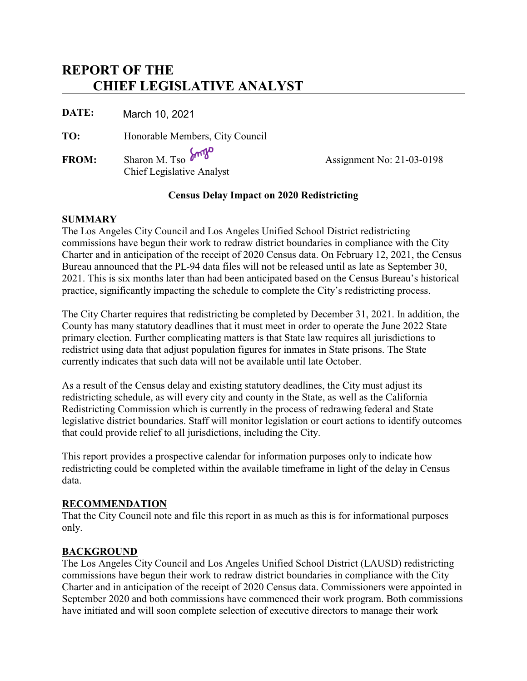# **REPORT OF THE CHIEF LEGISLATIVE ANALYST**

**DATE:** March 10, 2021

**TO:** Honorable Members, City Council

FROM: Sharon M. Tso  $\delta^{m}$ <sup>W</sup> Assignment No: 21-03-0198 Chief Legislative Analyst

#### **Census Delay Impact on 2020 Redistricting**

#### **SUMMARY**

The Los Angeles City Council and Los Angeles Unified School District redistricting commissions have begun their work to redraw district boundaries in compliance with the City Charter and in anticipation of the receipt of 2020 Census data. On February 12, 2021, the Census Bureau announced that the PL-94 data files will not be released until as late as September 30, 2021. This is six months later than had been anticipated based on the Census Bureau's historical practice, significantly impacting the schedule to complete the City's redistricting process.

The City Charter requires that redistricting be completed by December 31, 2021. In addition, the County has many statutory deadlines that it must meet in order to operate the June 2022 State primary election. Further complicating matters is that State law requires all jurisdictions to redistrict using data that adjust population figures for inmates in State prisons. The State currently indicates that such data will not be available until late October.

As a result of the Census delay and existing statutory deadlines, the City must adjust its redistricting schedule, as will every city and county in the State, as well as the California Redistricting Commission which is currently in the process of redrawing federal and State legislative district boundaries. Staff will monitor legislation or court actions to identify outcomes that could provide relief to all jurisdictions, including the City.

This report provides a prospective calendar for information purposes only to indicate how redistricting could be completed within the available timeframe in light of the delay in Census data.

#### **RECOMMENDATION**

That the City Council note and file this report in as much as this is for informational purposes only.

# **BACKGROUND**

The Los Angeles City Council and Los Angeles Unified School District (LAUSD) redistricting commissions have begun their work to redraw district boundaries in compliance with the City Charter and in anticipation of the receipt of 2020 Census data. Commissioners were appointed in September 2020 and both commissions have commenced their work program. Both commissions have initiated and will soon complete selection of executive directors to manage their work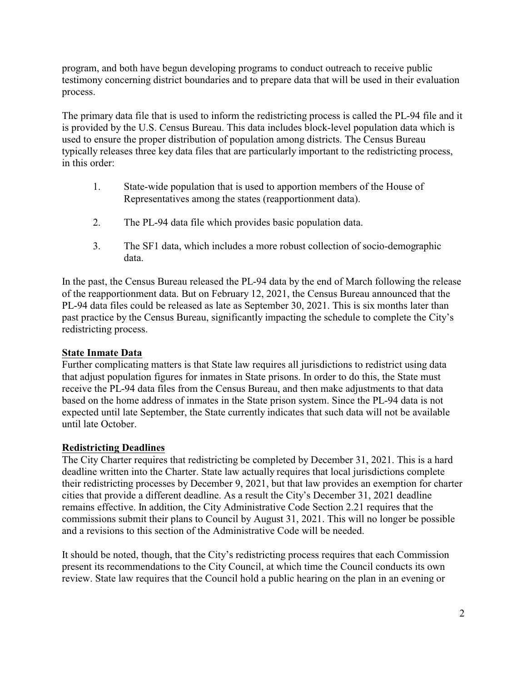program, and both have begun developing programs to conduct outreach to receive public testimony concerning district boundaries and to prepare data that will be used in their evaluation process.

The primary data file that is used to inform the redistricting process is called the PL-94 file and it is provided by the U.S. Census Bureau. This data includes block-level population data which is used to ensure the proper distribution of population among districts. The Census Bureau typically releases three key data files that are particularly important to the redistricting process, in this order:

- 1. State-wide population that is used to apportion members of the House of Representatives among the states (reapportionment data).
- 2. The PL-94 data file which provides basic population data.
- 3. The SF1 data, which includes a more robust collection of socio-demographic data.

In the past, the Census Bureau released the PL-94 data by the end of March following the release of the reapportionment data. But on February 12, 2021, the Census Bureau announced that the PL-94 data files could be released as late as September 30, 2021. This is six months later than past practice by the Census Bureau, significantly impacting the schedule to complete the City's redistricting process.

# **State Inmate Data**

Further complicating matters is that State law requires all jurisdictions to redistrict using data that adjust population figures for inmates in State prisons. In order to do this, the State must receive the PL-94 data files from the Census Bureau, and then make adjustments to that data based on the home address of inmates in the State prison system. Since the PL-94 data is not expected until late September, the State currently indicates that such data will not be available until late October.

# **Redistricting Deadlines**

The City Charter requires that redistricting be completed by December 31, 2021. This is a hard deadline written into the Charter. State law actually requires that local jurisdictions complete their redistricting processes by December 9, 2021, but that law provides an exemption for charter cities that provide a different deadline. As a result the City's December 31, 2021 deadline remains effective. In addition, the City Administrative Code Section 2.21 requires that the commissions submit their plans to Council by August 31, 2021. This will no longer be possible and a revisions to this section of the Administrative Code will be needed.

It should be noted, though, that the City's redistricting process requires that each Commission present its recommendations to the City Council, at which time the Council conducts its own review. State law requires that the Council hold a public hearing on the plan in an evening or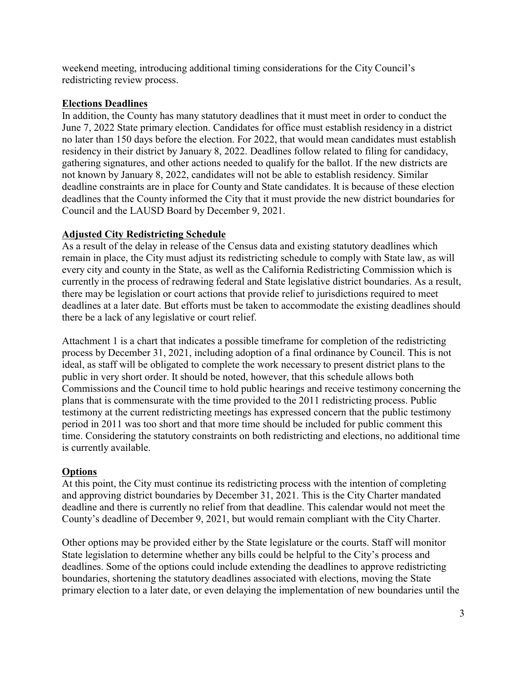weekend meeting, introducing additional timing considerations for the City Council's redistricting review process.

#### **Elections Deadlines**

In addition, the County has many statutory deadlines that it must meet in order to conduct the June 7, 2022 State primary election. Candidates for office must establish residency in a district no later than 150 days before the election. For 2022, that would mean candidates must establish residency in their district by January 8, 2022. Deadlines follow related to filing for candidacy, gathering signatures, and other actions needed to qualify for the ballot. If the new districts are not known by January 8, 2022, candidates will not be able to establish residency. Similar deadline constraints are in place for County and State candidates. It is because of these election deadlines that the County informed the City that it must provide the new district boundaries for Council and the LAUSD Board by December 9, 2021.

# **Adjusted City Redistricting Schedule**

As a result of the delay in release of the Census data and existing statutory deadlines which remain in place, the City must adjust its redistricting schedule to comply with State law, as will every city and county in the State, as well as the California Redistricting Commission which is currently in the process of redrawing federal and State legislative district boundaries. As a result, there may be legislation or court actions that provide relief to jurisdictions required to meet deadlines at a later date. But efforts must be taken to accommodate the existing deadlines should there be a lack of any legislative or court relief.

Attachment 1 is a chart that indicates a possible timeframe for completion of the redistricting process by December 31, 2021, including adoption of a final ordinance by Council. This is not ideal, as staff will be obligated to complete the work necessary to present district plans to the public in very short order. It should be noted, however, that this schedule allows both Commissions and the Council time to hold public hearings and receive testimony concerning the plans that is commensurate with the time provided to the 2011 redistricting process. Public testimony at the current redistricting meetings has expressed concern that the public testimony period in 2011 was too short and that more time should be included for public comment this time. Considering the statutory constraints on both redistricting and elections, no additional time is currently available.

# **Options**

At this point, the City must continue its redistricting process with the intention of completing and approving district boundaries by December 31, 2021. This is the City Charter mandated deadline and there is currently no relief from that deadline. This calendar would not meet the County's deadline of December 9, 2021, but would remain compliant with the City Charter.

Other options may be provided either by the State legislature or the courts. Staff will monitor State legislation to determine whether any bills could be helpful to the City's process and deadlines. Some of the options could include extending the deadlines to approve redistricting boundaries, shortening the statutory deadlines associated with elections, moving the State primary election to a later date, or even delaying the implementation of new boundaries until the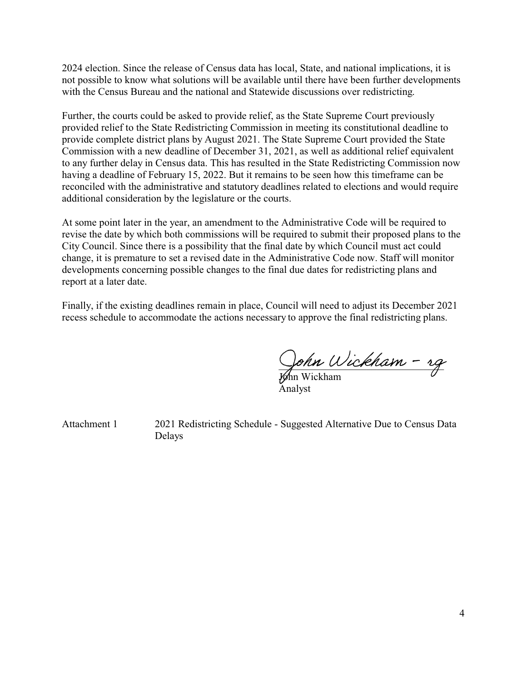2024 election. Since the release of Census data has local, State, and national implications, it is not possible to know what solutions will be available until there have been further developments with the Census Bureau and the national and Statewide discussions over redistricting.

Further, the courts could be asked to provide relief, as the State Supreme Court previously provided relief to the State Redistricting Commission in meeting its constitutional deadline to provide complete district plans by August 2021. The State Supreme Court provided the State Commission with a new deadline of December 31, 2021, as well as additional relief equivalent to any further delay in Census data. This has resulted in the State Redistricting Commission now having a deadline of February 15, 2022. But it remains to be seen how this timeframe can be reconciled with the administrative and statutory deadlines related to elections and would require additional consideration by the legislature or the courts.

At some point later in the year, an amendment to the Administrative Code will be required to revise the date by which both commissions will be required to submit their proposed plans to the City Council. Since there is a possibility that the final date by which Council must act could change, it is premature to set a revised date in the Administrative Code now. Staff will monitor developments concerning possible changes to the final due dates for redistricting plans and report at a later date.

Finally, if the existing deadlines remain in place, Council will need to adjust its December 2021 recess schedule to accommodate the actions necessary to approve the final redistricting plans.

Sonn Wickham - rg

John Wickham Analyst

Attachment 1 2021 Redistricting Schedule - Suggested Alternative Due to Census Data Delays